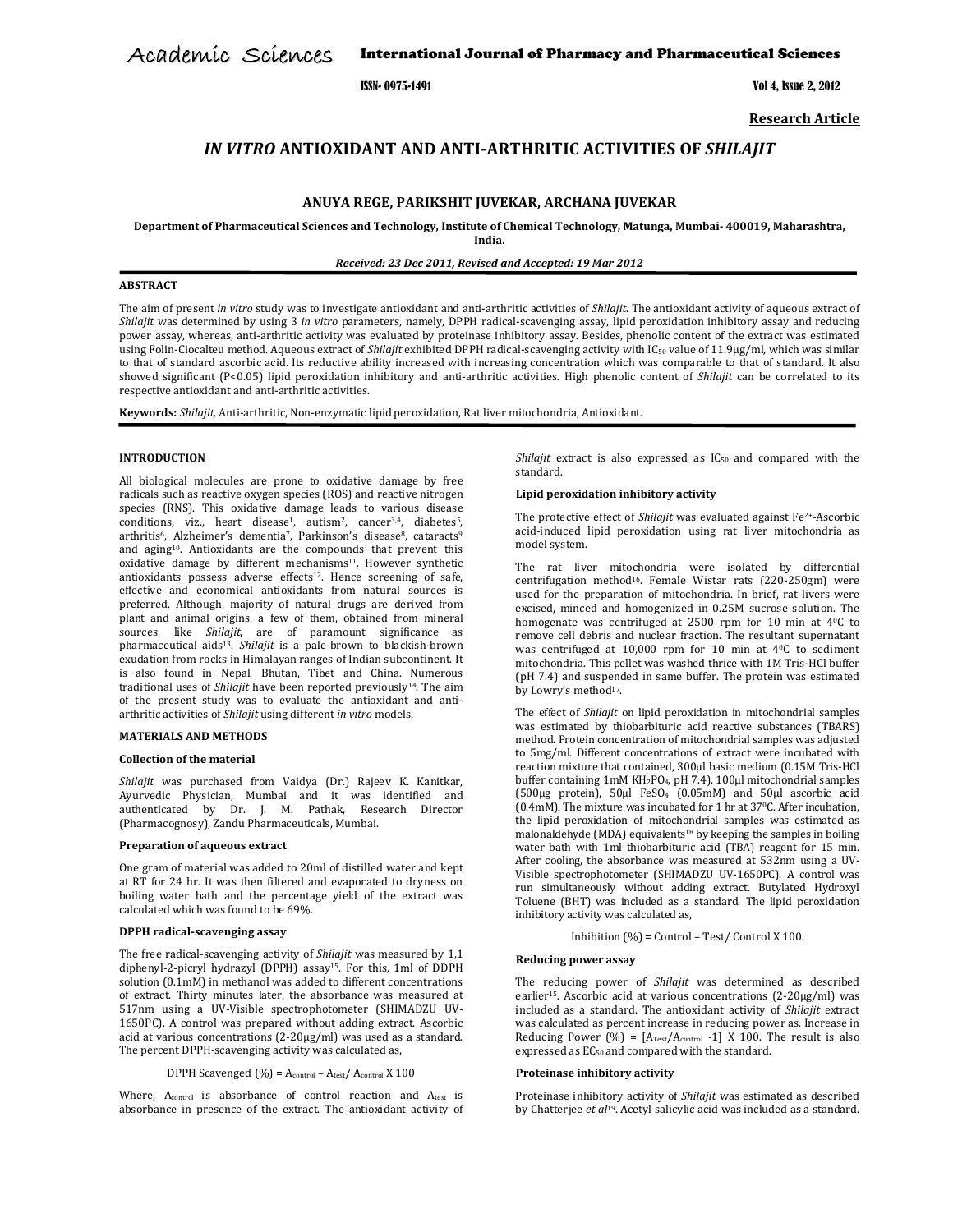International Journal of Pharmacy and Pharmaceutical Sciences Academic Sciences

ISSN- 0975-1491 Vol 4, Issue 2, 2012

Research Article

# IN VITRO ANTIOXIDANT AND ANTI-ARTHRITIC ACTIVITIES OF SHILAJIT

# ANUYA REGE, PARIKSHIT JUVEKAR, ARCHANA JUVEKAR

Department of Pharmaceutical Sciences and Technology, Institute of Chemical Technology, Matunga, Mumbai- 400019, Maharashtra,

India.

Received: 23 Dec 2011, Revised and Accepted: 19 Mar 2012

# ABSTRACT

The aim of present in vitro study was to investigate antioxidant and anti-arthritic activities of Shilajit. The antioxidant activity of aqueous extract of Shilajit was determined by using 3 in vitro parameters, namely, DPPH radical-scavenging assay, lipid peroxidation inhibitory assay and reducing power assay, whereas, anti-arthritic activity was evaluated by proteinase inhibitory assay. Besides, phenolic content of the extract was estimated using Folin-Ciocalteu method. Aqueous extract of Shilajit exhibited DPPH radical-scavenging activity with IC<sub>50</sub> value of 11.9µg/ml, which was similar to that of standard ascorbic acid. Its reductive ability increased with increasing concentration which was comparable to that of standard. It also showed significant (P<0.05) lipid peroxidation inhibitory and anti-arthritic activities. High phenolic content of Shilajit can be correlated to its respective antioxidant and anti-arthritic activities.

Keywords: Shilajit, Anti-arthritic, Non-enzymatic lipid peroxidation, Rat liver mitochondria, Antioxidant.

#### INTRODUCTION

All biological molecules are prone to oxidative damage by free radicals such as reactive oxygen species (ROS) and reactive nitrogen species (RNS). This oxidative damage leads to various disease conditions, viz., heart disease<sup>1</sup>, autism<sup>2</sup>, cancer<sup>3,4</sup>, diabetes<sup>5</sup>, arthritis<sup>6</sup>, Alzheimer's dementia<sup>7</sup>, Parkinson's disease<sup>8</sup>, cataracts<sup>9</sup> and aging10. Antioxidants are the compounds that prevent this oxidative damage by different mechanisms<sup>11</sup>. However synthetic antioxidants possess adverse effects<sup>12</sup>. Hence screening of safe, effective and economical antioxidants from natural sources is preferred. Although, majority of natural drugs are derived from plant and animal origins, a few of them, obtained from mineral sources, like Shilajit, are of paramount significance as pharmaceutical aids<sup>13</sup>. Shilajit is a pale-brown to blackish-brown exudation from rocks in Himalayan ranges of Indian subcontinent. It is also found in Nepal, Bhutan, Tibet and China. Numerous traditional uses of Shilajit have been reported previously<sup>14</sup>. The aim of the present study was to evaluate the antioxidant and antiarthritic activities of Shilajit using different in vitro models.

### MATERIALS AND METHODS

### Collection of the material

Shilajit was purchased from Vaidya (Dr.) Rajeev K. Kanitkar, Ayurvedic Physician, Mumbai and it was identified and authenticated by Dr. J. M. Pathak, Research Director (Pharmacognosy), Zandu Pharmaceuticals, Mumbai.

#### Preparation of aqueous extract

One gram of material was added to 20ml of distilled water and kept at RT for 24 hr. It was then filtered and evaporated to dryness on boiling water bath and the percentage yield of the extract was calculated which was found to be 69%.

### DPPH radical-scavenging assay

The free radical-scavenging activity of Shilajit was measured by 1,1 diphenyl-2-picryl hydrazyl (DPPH) assay15. For this, 1ml of DDPH solution (0.1mM) in methanol was added to different concentrations of extract. Thirty minutes later, the absorbance was measured at 517nm using a UV-Visible spectrophotometer (SHIMADZU UV-1650PC). A control was prepared without adding extract. Ascorbic acid at various concentrations (2-20μg/ml) was used as a standard. The percent DPPH-scavenging activity was calculated as,

DPPH Scavenged (%) = Acontrol – Atest/ Acontrol X 100

Where, Acontrol is absorbance of control reaction and Atest is absorbance in presence of the extract. The antioxidant activity of Shilajit extract is also expressed as  $IC_{50}$  and compared with the standard.

#### Lipid peroxidation inhibitory activity

The protective effect of Shilajit was evaluated against  $Fe<sup>2+</sup>$ -Ascorbic acid-induced lipid peroxidation using rat liver mitochondria as model system.

The rat liver mitochondria were isolated by differential centrifugation method16. Female Wistar rats (220-250gm) were used for the preparation of mitochondria. In brief, rat livers were excised, minced and homogenized in 0.25M sucrose solution. The homogenate was centrifuged at 2500 rpm for 10 min at 40C to remove cell debris and nuclear fraction. The resultant supernatant was centrifuged at 10,000 rpm for 10 min at 40C to sediment mitochondria. This pellet was washed thrice with 1M Tris-HCl buffer (pH 7.4) and suspended in same buffer. The protein was estimated by Lowry's method17.

The effect of Shilajit on lipid peroxidation in mitochondrial samples was estimated by thiobarbituric acid reactive substances (TBARS) method. Protein concentration of mitochondrial samples was adjusted to 5mg/ml. Different concentrations of extract were incubated with reaction mixture that contained, 300µl basic medium (0.15M Tris-HCl buffer containing 1mM KH2PO4, pH 7.4), 100µl mitochondrial samples (500µg protein), 50µl FeSO4 (0.05mM) and 50µl ascorbic acid (0.4mM). The mixture was incubated for 1 hr at 370C. After incubation, the lipid peroxidation of mitochondrial samples was estimated as malonaldehyde (MDA) equivalents<sup>18</sup> by keeping the samples in boiling water bath with 1ml thiobarbituric acid (TBA) reagent for 15 min. After cooling, the absorbance was measured at 532nm using a UV-Visible spectrophotometer (SHIMADZU UV-1650PC). A control was run simultaneously without adding extract. Butylated Hydroxyl Toluene (BHT) was included as a standard. The lipid peroxidation inhibitory activity was calculated as,

Inhibition (%) = Control – Test/ Control X 100.

#### Reducing power assay

The reducing power of Shilajit was determined as described earlier15. Ascorbic acid at various concentrations (2-20μg/ml) was included as a standard. The antioxidant activity of Shilajit extract was calculated as percent increase in reducing power as, Increase in Reducing Power (%) =  $[A_{Test}/A_{control} -1]$  X 100. The result is also expressed as EC<sub>50</sub> and compared with the standard.

# Proteinase inhibitory activity

Proteinase inhibitory activity of Shilajit was estimated as described by Chatterjee et al<sup>19</sup>. Acetyl salicylic acid was included as a standard.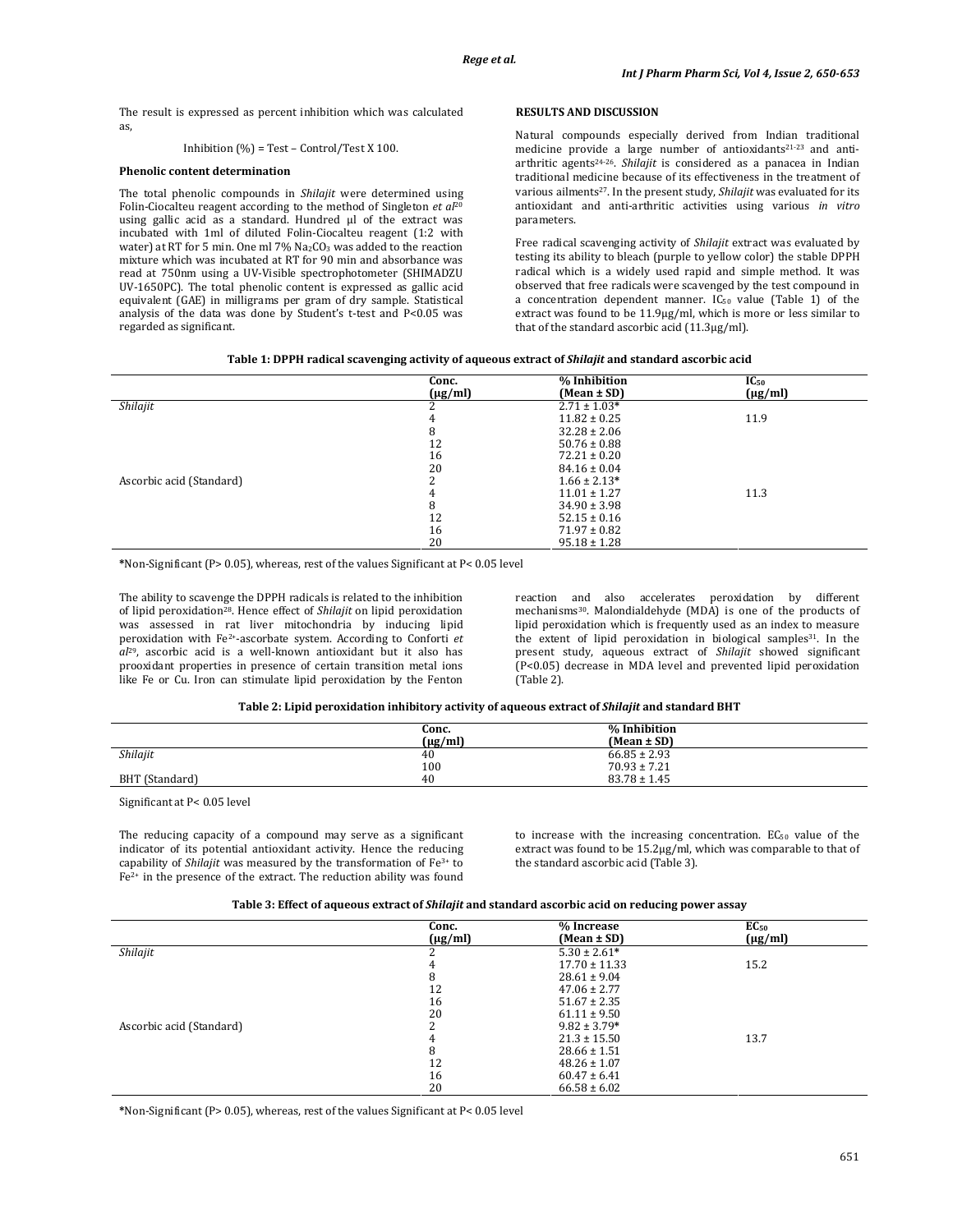The result is expressed as percent inhibition which was calculated as,

### Inhibition (%) = Test – Control/Test X 100.

#### Phenolic content determination

The total phenolic compounds in Shilajit were determined using Folin-Ciocalteu reagent according to the method of Singleton  $et$   $al^{20}$ using gallic acid as a standard. Hundred µl of the extract was incubated with 1ml of diluted Folin-Ciocalteu reagent (1:2 with water) at RT for 5 min. One ml 7% Na<sub>2</sub>CO<sub>3</sub> was added to the reaction mixture which was incubated at RT for 90 min and absorbance was read at 750nm using a UV-Visible spectrophotometer (SHIMADZU UV-1650PC). The total phenolic content is expressed as gallic acid equivalent (GAE) in milligrams per gram of dry sample. Statistical analysis of the data was done by Student's t-test and P<0.05 was regarded as significant.

# RESULTS AND DISCUSSION

Natural compounds especially derived from Indian traditional medicine provide a large number of antioxidants<sup>21-23</sup> and antiarthritic agents<sup>24-26</sup>. Shilajit is considered as a panacea in Indian traditional medicine because of its effectiveness in the treatment of various ailments<sup>27</sup>. In the present study, Shilajit was evaluated for its antioxidant and anti-arthritic activities using various in vitro parameters.

Free radical scavenging activity of Shilajit extract was evaluated by testing its ability to bleach (purple to yellow color) the stable DPPH radical which is a widely used rapid and simple method. It was observed that free radicals were scavenged by the test compound in a concentration dependent manner. IC<sub>50</sub> value (Table 1) of the extract was found to be 11.9µg/ml, which is more or less similar to that of the standard ascorbic acid (11.3µg/ml).

|                          | Conc.        | % Inhibition     | $IC_{50}$    |
|--------------------------|--------------|------------------|--------------|
|                          | $(\mu g/ml)$ | $(Mean \pm SD)$  | $(\mu g/ml)$ |
| Shilajit                 |              | $2.71 \pm 1.03*$ |              |
|                          |              | $11.82 \pm 0.25$ | 11.9         |
|                          | 8            | $32.28 \pm 2.06$ |              |
|                          | 12           | $50.76 \pm 0.88$ |              |
|                          | 16           | $72.21 \pm 0.20$ |              |
|                          | 20           | $84.16 \pm 0.04$ |              |
| Ascorbic acid (Standard) |              | $1.66 \pm 2.13*$ |              |
|                          |              | $11.01 \pm 1.27$ | 11.3         |
|                          | 8            | $34.90 \pm 3.98$ |              |
|                          | 12           | $52.15 \pm 0.16$ |              |
|                          | 16           | $71.97 \pm 0.82$ |              |
|                          | 20           | $95.18 \pm 1.28$ |              |

\*Non-Significant (P> 0.05), whereas, rest of the values Significant at P< 0.05 level

The ability to scavenge the DPPH radicals is related to the inhibition of lipid peroxidation<sup>28</sup>. Hence effect of Shilajit on lipid peroxidation was assessed in rat liver mitochondria by inducing lipid peroxidation with Fe2+-ascorbate system. According to Conforti et  $al^{29}$ , ascorbic acid is a well-known antioxidant but it also has prooxidant properties in presence of certain transition metal ions like Fe or Cu. Iron can stimulate lipid peroxidation by the Fenton

reaction and also accelerates peroxidation by different mechanisms30. Malondialdehyde (MDA) is one of the products of lipid peroxidation which is frequently used as an index to measure the extent of lipid peroxidation in biological samples<sup>31</sup>. In the present study, aqueous extract of Shilajit showed significant (P<0.05) decrease in MDA level and prevented lipid peroxidation (Table 2).

#### Table 2: Lipid peroxidation inhibitory activity of aqueous extract of Shilajit and standard BHT

|                | Conc.<br>$(\mu g/ml)$ | % Inhibition<br>$(Mean \pm SD)$ |
|----------------|-----------------------|---------------------------------|
| Shilajit       | 40                    | $66.85 \pm 2.93$                |
|                | 100                   | $70.93 \pm 7.21$                |
| BHT (Standard) | 40                    | $83.78 \pm 1.45$                |

Significant at P< 0.05 level

The reducing capacity of a compound may serve as a significant indicator of its potential antioxidant activity. Hence the reducing capability of *Shilajit* was measured by the transformation of  $Fe<sup>3+</sup>$  to Fe2+ in the presence of the extract. The reduction ability was found to increase with the increasing concentration.  $EC_{50}$  value of the extract was found to be 15.2µg/ml, which was comparable to that of the standard ascorbic acid (Table 3).

|  | Table 3: Effect of aqueous extract of <i>Shilajit</i> and standard ascorbic acid on reducing power assay |
|--|----------------------------------------------------------------------------------------------------------|
|  |                                                                                                          |

|                          | Conc.   | % Increase        | EC <sub>50</sub> |
|--------------------------|---------|-------------------|------------------|
|                          | (µg/ml) | (Mean ± SD)       | $(\mu g/ml)$     |
| Shilajit                 |         | $5.30 \pm 2.61*$  |                  |
|                          |         | $17.70 \pm 11.33$ | 15.2             |
|                          |         | $28.61 \pm 9.04$  |                  |
|                          | 12      | $47.06 \pm 2.77$  |                  |
|                          | 16      | $51.67 \pm 2.35$  |                  |
|                          | 20      | $61.11 \pm 9.50$  |                  |
| Ascorbic acid (Standard) |         | $9.82 \pm 3.79*$  |                  |
|                          |         | $21.3 \pm 15.50$  | 13.7             |
|                          | 8       | $28.66 \pm 1.51$  |                  |
|                          | 12      | $48.26 \pm 1.07$  |                  |
|                          | 16      | $60.47 \pm 6.41$  |                  |
|                          | 20      | $66.58 \pm 6.02$  |                  |

\*Non-Significant (P> 0.05), whereas, rest of the values Significant at P< 0.05 level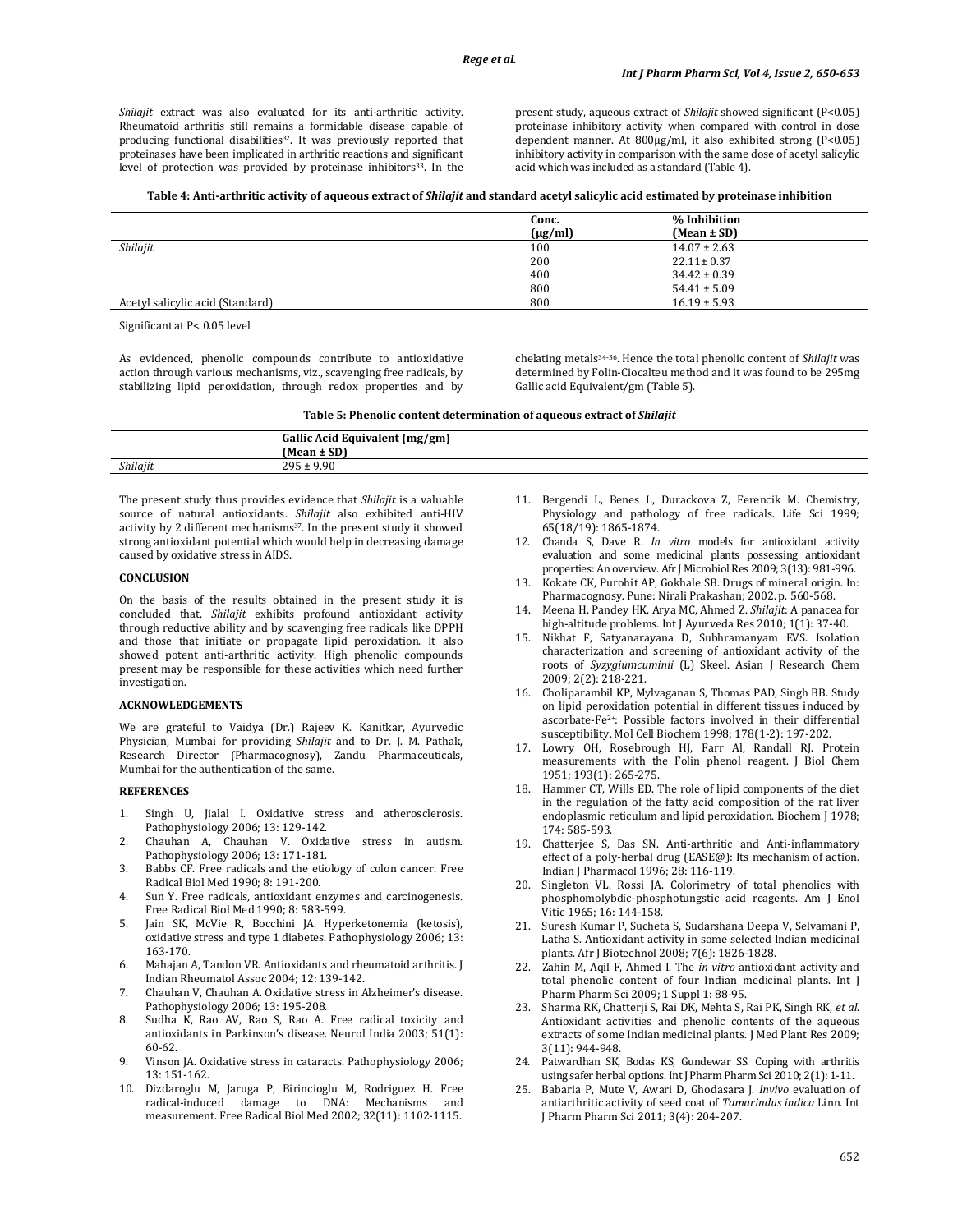Shilajit extract was also evaluated for its anti-arthritic activity. Rheumatoid arthritis still remains a formidable disease capable of producing functional disabilities<sup>32</sup>. It was previously reported that proteinases have been implicated in arthritic reactions and significant level of protection was provided by proteinase inhibitors<sup>33</sup>. In the

present study, aqueous extract of Shilajit showed significant (P<0.05) proteinase inhibitory activity when compared with control in dose dependent manner. At 800µg/ml, it also exhibited strong (P<0.05) inhibitory activity in comparison with the same dose of acetyl salicylic acid which was included as a standard (Table 4).

|  |  | Table 4: Anti-arthritic activity of aqueous extract of Shilajit and standard acetyl salicylic acid estimated by proteinase inhibition |
|--|--|---------------------------------------------------------------------------------------------------------------------------------------|
|--|--|---------------------------------------------------------------------------------------------------------------------------------------|

|                                  | Conc.        | % Inhibition     |
|----------------------------------|--------------|------------------|
|                                  | $(\mu g/ml)$ | $(Mean \pm SD)$  |
| Shilajit                         | 100          | $14.07 \pm 2.63$ |
|                                  | 200          | $22.11 \pm 0.37$ |
|                                  | 400          | $34.42 \pm 0.39$ |
|                                  | 800          | $54.41 \pm 5.09$ |
| Acetyl salicylic acid (Standard) | 800          | $16.19 \pm 5.93$ |

Significant at P< 0.05 level

As evidenced, phenolic compounds contribute to antioxidative action through various mechanisms, viz., scavenging free radicals, by stabilizing lipid peroxidation, through redox properties and by chelating metals34-36. Hence the total phenolic content of Shilajit was determined by Folin-Ciocalteu method and it was found to be 295mg Gallic acid Equivalent/gm (Table 5).

| Table 5: Phenolic content determination of aqueous extract of <i>Shilajit</i> |  |  |  |
|-------------------------------------------------------------------------------|--|--|--|
|-------------------------------------------------------------------------------|--|--|--|

|          | .<br>Gallic Acid Equivalent (mg/gm)<br>$.$ CD)<br>$(Mean \pm SD)$ |
|----------|-------------------------------------------------------------------|
| Shilajit | : 9.90<br><b>OOE</b>                                              |
|          |                                                                   |

The present study thus provides evidence that Shilajit is a valuable source of natural antioxidants. Shilajit also exhibited anti-HIV activity by 2 different mechanisms<sup>37</sup>. In the present study it showed strong antioxidant potential which would help in decreasing damage caused by oxidative stress in AIDS.

#### **CONCLUSION**

On the basis of the results obtained in the present study it is concluded that, Shilajit exhibits profound antioxidant activity through reductive ability and by scavenging free radicals like DPPH and those that initiate or propagate lipid peroxidation. It also showed potent anti-arthritic activity. High phenolic compounds present may be responsible for these activities which need further investigation.

#### ACKNOWLEDGEMENTS

We are grateful to Vaidya (Dr.) Rajeev K. Kanitkar, Ayurvedic Physician, Mumbai for providing Shilajit and to Dr. J. M. Pathak, Research Director (Pharmacognosy), Zandu Pharmaceuticals, Mumbai for the authentication of the same.

#### **REFERENCES**

- 1. Singh U, Jialal I. Oxidative stress and atherosclerosis. Pathophysiology 2006; 13: 129-142.
- 2. Chauhan A, Chauhan V. Oxidative stress in autism. Pathophysiology 2006; 13: 171-181.
- 3. Babbs CF. Free radicals and the etiology of colon cancer. Free Radical Biol Med 1990; 8: 191-200.
- 4. Sun Y. Free radicals, antioxidant enzymes and carcinogenesis. Free Radical Biol Med 1990; 8: 583-599.
- 5. Jain SK, McVie R, Bocchini JA. Hyperketonemia (ketosis), oxidative stress and type 1 diabetes. Pathophysiology 2006; 13: 163-170.
- 6. Mahajan A, Tandon VR. Antioxidants and rheumatoid arthritis. J Indian Rheumatol Assoc 2004; 12: 139-142.
- 7. Chauhan V, Chauhan A. Oxidative stress in Alzheimer's disease. Pathophysiology 2006; 13: 195-208.
- 8. Sudha K, Rao AV, Rao S, Rao A. Free radical toxicity and antioxidants in Parkinson's disease. Neurol India 2003; 51(1): 60-62.
- 9. Vinson JA. Oxidative stress in cataracts. Pathophysiology 2006; 13: 151-162.
- 10. Dizdaroglu M, Jaruga P, Birincioglu M, Rodriguez H. Free radical-induced damage to DNA: Mechanisms and measurement. Free Radical Biol Med 2002; 32(11): 1102-1115.
- 11. Bergendi L, Benes L, Durackova Z, Ferencik M. Chemistry, Physiology and pathology of free radicals. Life Sci 1999; 65(18/19): 1865-1874.
- 12. Chanda S, Dave R. In vitro models for antioxidant activity evaluation and some medicinal plants possessing antioxidant properties: An overview. Afr J Microbiol Res 2009; 3(13): 981-996.
- Kokate CK, Purohit AP, Gokhale SB. Drugs of mineral origin. In: Pharmacognosy. Pune: Nirali Prakashan; 2002. p. 560-568.
- 14. Meena H, Pandey HK, Arya MC, Ahmed Z. Shilajit: A panacea for high-altitude problems. Int J Ayurveda Res 2010; 1(1): 37-40.
- 15. Nikhat F, Satyanarayana D, Subhramanyam EVS. Isolation characterization and screening of antioxidant activity of the roots of Syzygiumcuminii (L) Skeel. Asian J Research Chem 2009; 2(2): 218-221.
- 16. Choliparambil KP, Mylvaganan S, Thomas PAD, Singh BB. Study on lipid peroxidation potential in different tissues induced by ascorbate-Fe2+: Possible factors involved in their differential susceptibility. Mol Cell Biochem 1998; 178(1-2): 197-202.
- 17. Lowry OH, Rosebrough HJ, Farr Al, Randall RJ. Protein measurements with the Folin phenol reagent. J Biol Chem 1951; 193(1): 265-275.
- 18. Hammer CT, Wills ED. The role of lipid components of the diet in the regulation of the fatty acid composition of the rat liver endoplasmic reticulum and lipid peroxidation. Biochem J 1978; 174: 585-593.
- 19. Chatterjee S, Das SN. Anti-arthritic and Anti-inflammatory effect of a poly-herbal drug (EASE@): Its mechanism of action. Indian J Pharmacol 1996; 28: 116-119.
- 20. Singleton VL, Rossi JA. Colorimetry of total phenolics with phosphomolybdic-phosphotungstic acid reagents. Am J Enol Vitic 1965; 16: 144-158.
- 21. Suresh Kumar P, Sucheta S, Sudarshana Deepa V, Selvamani P, Latha S. Antioxidant activity in some selected Indian medicinal plants. Afr J Biotechnol 2008; 7(6): 1826-1828.
- 22. Zahin M, Aqil F, Ahmed I. The in vitro antioxidant activity and total phenolic content of four Indian medicinal plants. Int J Pharm Pharm Sci 2009; 1 Suppl 1: 88-95.
- 23. Sharma RK, Chatterji S, Rai DK, Mehta S, Rai PK, Singh RK, et al. Antioxidant activities and phenolic contents of the aqueous extracts of some Indian medicinal plants. J Med Plant Res 2009; 3(11): 944-948.
- 24. Patwardhan SK, Bodas KS, Gundewar SS. Coping with arthritis using safer herbal options. Int J Pharm Pharm Sci 2010; 2(1): 1-11.
- 25. Babaria P, Mute V, Awari D, Ghodasara J. Invivo evaluation of antiarthritic activity of seed coat of Tamarindus indica Linn. Int J Pharm Pharm Sci 2011; 3(4): 204-207.